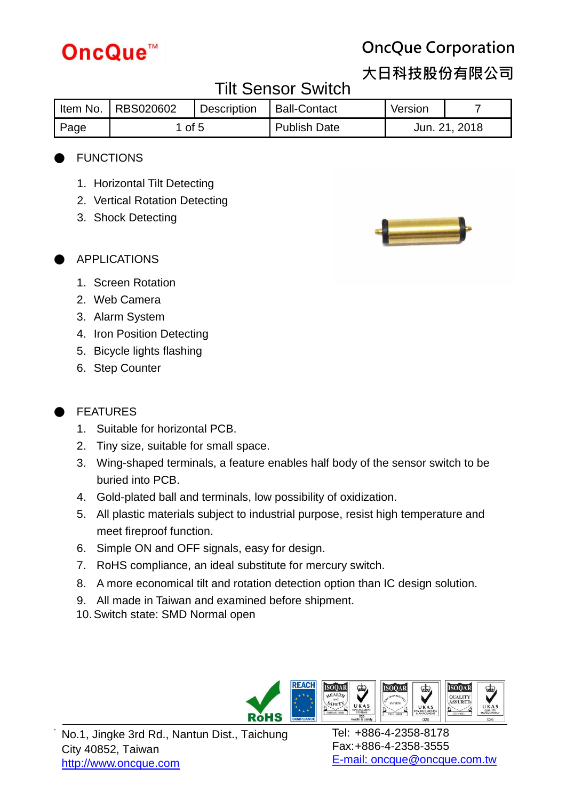

**大日科技股份有限公司**

## Tilt Sensor Switch

|      | Item No.   RBS020602 | <b>I</b> Description | <b>Ball-Contact</b> | Version |               |
|------|----------------------|----------------------|---------------------|---------|---------------|
| Page | of $5$               |                      | Publish Date        |         | Jun. 21, 2018 |

### **FUNCTIONS**

- 1. Horizontal Tilt Detecting
- 2. Vertical Rotation Detecting
- 3. Shock Detecting



- APPLICATIONS
	- 1. Screen Rotation
	- 2. Web Camera
	- 3. Alarm System
	- 4. Iron Position Detecting
	- 5. Bicycle lights flashing
	- 6. Step Counter

## **FEATURES**

.

- 1. Suitable for horizontal PCB.
- 2. Tiny size, suitable for small space.
- 3. Wing-shaped terminals, a feature enables half body of the sensor switch to be buried into PCB.
- 4. Gold-plated ball and terminals, low possibility of oxidization.
- 5. All plastic materials subject to industrial purpose, resist high temperature and meet fireproof function.
- 6. Simple ON and OFF signals, easy for design.
- 7. RoHS compliance, an ideal substitute for mercury switch.
- 8. A more economical tilt and rotation detection option than IC design solution.
- 9. All made in Taiwan and examined before shipment.
- 10.Switch state: SMD Normal open

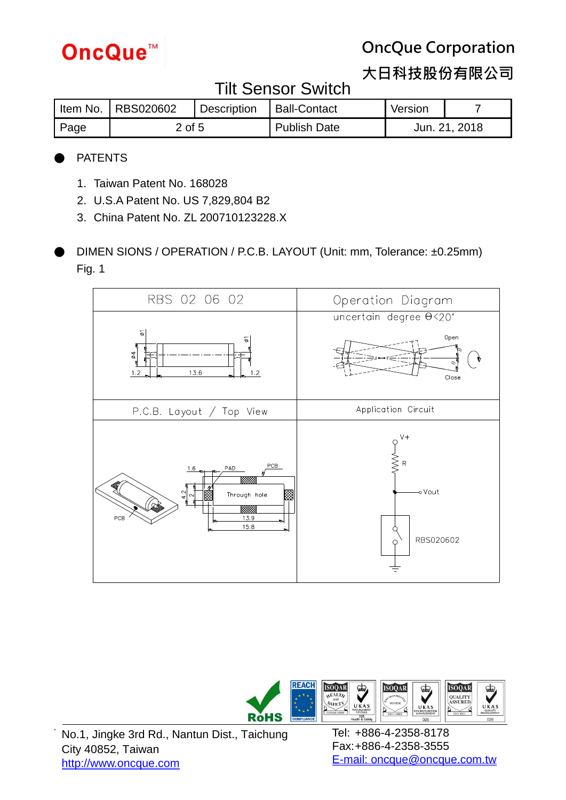

**大日科技股份有限公司**

## Tilt Sensor Switch

|             | I Item No.   RBS020602 | Description | Ball-Contact        | Version |               |
|-------------|------------------------|-------------|---------------------|---------|---------------|
| <b>Page</b> | 2 of 5                 |             | <b>Publish Date</b> |         | Jun. 21, 2018 |

### **PATENTS**

- 1. Taiwan Patent No. 168028
- 2. U.S.A Patent No. US 7,829,804 B2
- 3. China Patent No. ZL 200710123228.X
- DIMEN SIONS / OPERATION / P.C.B. LAYOUT (Unit: mm, Tolerance: ±0.25mm) Fig. 1





No.1, Jingke 3rd Rd., Nantun Dist., Taichung City 40852, Taiwan http://www.oncque.com

.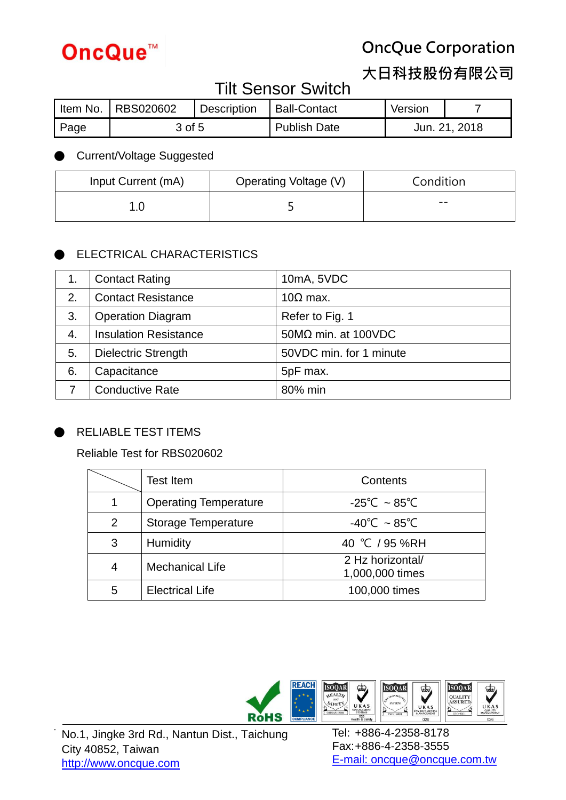

**大日科技股份有限公司**

## Tilt Sensor Switch

|      | I Item No.   RBS020602 | Description | Ball-Contact        | Version |               |
|------|------------------------|-------------|---------------------|---------|---------------|
| Page | 3 of 5                 |             | <b>Publish Date</b> |         | Jun. 21, 2018 |

### **Current/Voltage Suggested**

| Input Current (mA) | Operating Voltage (V) | Condition |  |
|--------------------|-----------------------|-----------|--|
|                    |                       | $- -$     |  |

## **ELECTRICAL CHARACTERISTICS**

|    | <b>Contact Rating</b>        | 10mA, 5VDC                 |
|----|------------------------------|----------------------------|
| 2. | <b>Contact Resistance</b>    | $10\Omega$ max.            |
| 3. | <b>Operation Diagram</b>     | Refer to Fig. 1            |
| 4. | <b>Insulation Resistance</b> | $50M\Omega$ min. at 100VDC |
| 5. | <b>Dielectric Strength</b>   | 50VDC min. for 1 minute    |
| 6. | Capacitance                  | 5pF max.                   |
|    | <b>Conductive Rate</b>       | 80% min                    |

### RELIABLE TEST ITEMS

#### Reliable Test for RBS020602

|                             | <b>Test Item</b>             | Contents                            |  |
|-----------------------------|------------------------------|-------------------------------------|--|
| 1                           | <b>Operating Temperature</b> | $-25^{\circ}$ C ~ 85 $^{\circ}$ C   |  |
| 2                           | Storage Temperature          | $-40^{\circ}$ C ~ 85 $^{\circ}$ C   |  |
| 3                           | Humidity                     | 40 °C / 95 %RH                      |  |
| <b>Mechanical Life</b><br>4 |                              | 2 Hz horizontal/<br>1,000,000 times |  |
| 5                           | <b>Electrical Life</b>       | 100,000 times                       |  |



.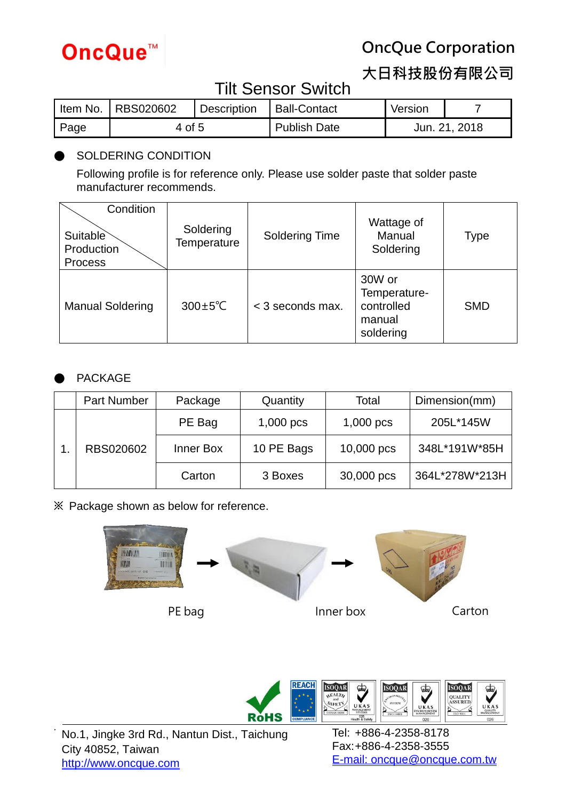

**大日科技股份有限公司**

## Tilt Sensor Switch

|      | Item No.   RBS020602 | <b>Description</b> | Ball-Contact        | Version |               |
|------|----------------------|--------------------|---------------------|---------|---------------|
| Page | 4 of 5               |                    | <b>Publish Date</b> |         | Jun. 21, 2018 |

### SOLDERING CONDITION

Following profile is for reference only. Please use solder paste that solder paste manufacturer recommends.

| Condition<br>Suitable<br>Production<br><b>Process</b> | Soldering<br><b>Temperature</b> | <b>Soldering Time</b> | Wattage of<br>Manual<br>Soldering                           | Type       |
|-------------------------------------------------------|---------------------------------|-----------------------|-------------------------------------------------------------|------------|
| <b>Manual Soldering</b>                               | $300 \pm 5^{\circ}$ C           | < 3 seconds max.      | 30W or<br>Temperature-<br>controlled<br>manual<br>soldering | <b>SMD</b> |

### **PACKAGE**

.

|  | <b>Part Number</b> | Package   | Quantity    | Total       | Dimension(mm)  |
|--|--------------------|-----------|-------------|-------------|----------------|
|  |                    | PE Bag    | $1,000$ pcs | $1,000$ pcs | 205L*145W      |
|  | RBS020602          | Inner Box | 10 PE Bags  | 10,000 pcs  | 348L*191W*85H  |
|  |                    | Carton    | 3 Boxes     | 30,000 pcs  | 364L*278W*213H |

**※** Package shown as below for reference.





No.1, Jingke 3rd Rd., Nantun Dist., Taichung City 40852, Taiwan http://www.oncque.com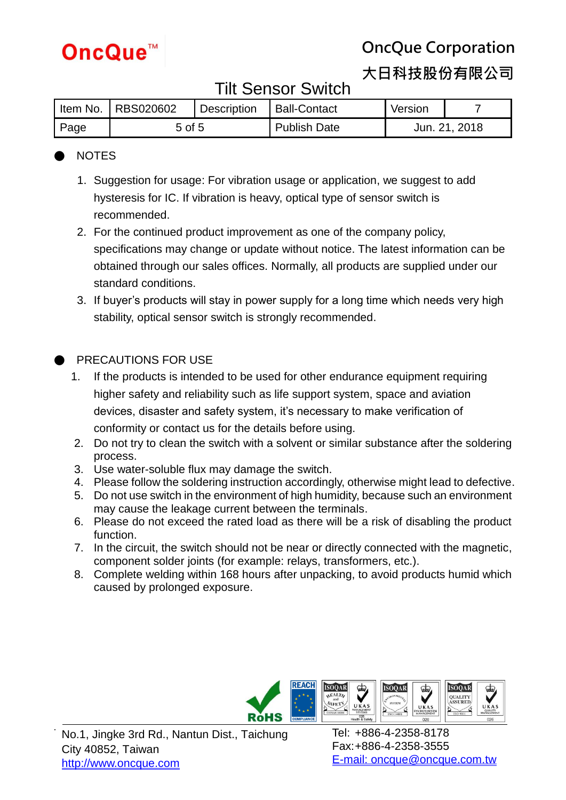

## **大日科技股份有限公司**

## Tilt Sensor Switch

|      | I Item No.   RBS020602 | Description | Ball-Contact        | Version |               |
|------|------------------------|-------------|---------------------|---------|---------------|
| Page | 5 of 5                 |             | <b>Publish Date</b> |         | Jun. 21, 2018 |

## ● NOTES

- 1. Suggestion for usage: For vibration usage or application, we suggest to add hysteresis for IC. If vibration is heavy, optical type of sensor switch is recommended.
- 2. For the continued product improvement as one of the company policy, specifications may change or update without notice. The latest information can be obtained through our sales offices. Normally, all products are supplied under our standard conditions.
- 3. If buyer's products will stay in power supply for a long time which needs very high stability, optical sensor switch is strongly recommended.

## PRECAUTIONS FOR USE

- 1. If the products is intended to be used for other endurance equipment requiring higher safety and reliability such as life support system, space and aviation devices, disaster and safety system, it's necessary to make verification of conformity or contact us for the details before using.
- 2. Do not try to clean the switch with a solvent or similar substance after the soldering process.
- 3. Use water-soluble flux may damage the switch.
- 4. Please follow the soldering instruction accordingly, otherwise might lead to defective.
- 5. Do not use switch in the environment of high humidity, because such an environment may cause the leakage current between the terminals.
- 6. Please do not exceed the rated load as there will be a risk of disabling the product function.
- 7. In the circuit, the switch should not be near or directly connected with the magnetic, component solder joints (for example: relays, transformers, etc.).
- 8. Complete welding within 168 hours after unpacking, to avoid products humid which caused by prolonged exposure.



No.1, Jingke 3rd Rd., Nantun Dist., Taichung City 40852, Taiwan http://www.oncque.com

.